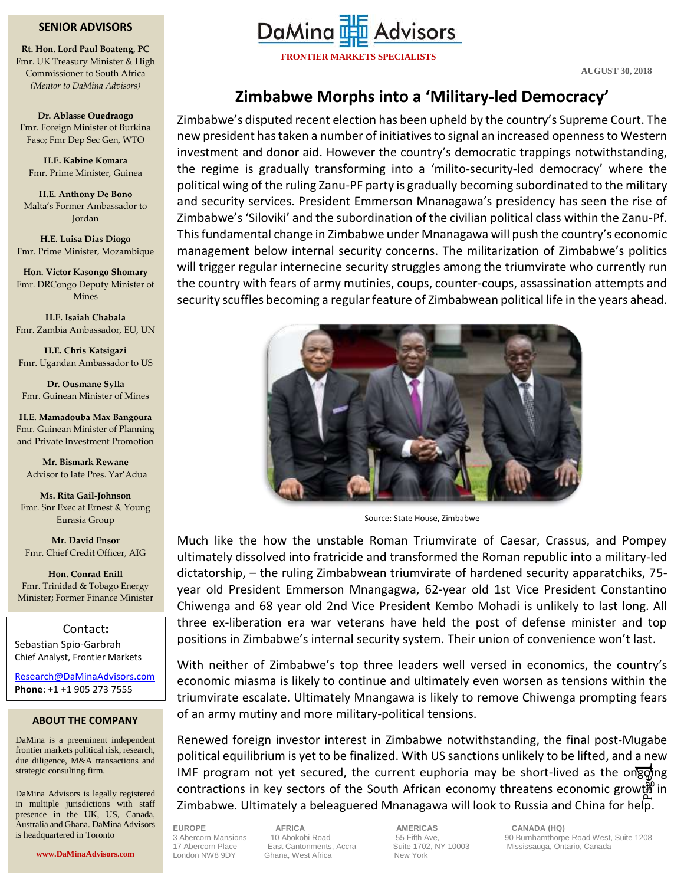## **SENIOR ADVISORS**

*(Mentor to DaMina Advisors)* **Rt. Hon. Lord Paul Boateng, PC** Fmr. UK Treasury Minister & High Commissioner to South Africa

**Dr. Ablasse Ouedraogo** Fmr. Foreign Minister of Burkina Faso; Fmr Dep Sec Gen, WTO

**H.E. Kabine Komara** Fmr. Prime Minister, Guinea

**H.E. Anthony De Bono** Malta's Former Ambassador to Jordan

**H.E. Luisa Dias Diogo** Fmr. Prime Minister, Mozambique

**Hon. Victor Kasongo Shomary** Fmr. DRCongo Deputy Minister of Mines

**H.E. Isaiah Chabala** Fmr. Zambia Ambassador, EU, UN

**H.E. Chris Katsigazi** Fmr. Ugandan Ambassador to US

**Dr. Ousmane Sylla** Fmr. Guinean Minister of Mines

**H.E. Mamadouba Max Bangoura** Fmr. Guinean Minister of Planning and Private Investment Promotion

**Mr. Bismark Rewane** Advisor to late Pres. Yar'Adua

**Ms. Rita Gail-Johnson** Fmr. Snr Exec at Ernest & Young Eurasia Group

**Mr. David Ensor** Fmr. Chief Credit Officer, AIG

**Hon. Conrad Enill** Fmr. Trinidad & Tobago Energy Minister; Former Finance Minister

Contact**:** Sebastian Spio-Garbrah Chief Analyst, Frontier Markets

[Research@DaMinaAdvisors.com](mailto:Research@DaMinaAdvisors.com) **Phone**: +1 +1 905 273 7555

## **ABOUT THE COMPANY**

DaMina is a preeminent independent frontier markets political risk, research, due diligence, M&A transactions and strategic consulting firm.

DaMina Advisors is legally registered in multiple jurisdictions with staff presence in the UK, US, Canada, Australia and Ghana. DaMina Advisors is headquartered in Toronto



**FRONTIER MARKETS SPECIALISTS**

**AUGUST 30, 2018**

## **Zimbabwe Morphs into a 'Military-led Democracy'**

Zimbabwe's disputed recent election has been upheld by the country's Supreme Court. The new president has taken a number of initiatives to signal an increased opennessto Western investment and donor aid. However the country's democratic trappings notwithstanding, the regime is gradually transforming into a 'milito-security-led democracy' where the political wing of the ruling Zanu-PF party is gradually becoming subordinated to the military and security services. President Emmerson Mnanagawa's presidency has seen the rise of Zimbabwe's 'Siloviki' and the subordination of the civilian political class within the Zanu-Pf. This fundamental change in Zimbabwe under Mnanagawa will push the country's economic management below internal security concerns. The militarization of Zimbabwe's politics will trigger regular internecine security struggles among the triumvirate who currently run the country with fears of army mutinies, coups, counter-coups, assassination attempts and security scuffles becoming a regular feature of Zimbabwean political life in the years ahead.



Source: State House, Zimbabwe

Much like the how the unstable Roman Triumvirate of Caesar, Crassus, and Pompey ultimately dissolved into fratricide and transformed the Roman republic into a military-led dictatorship, – the ruling Zimbabwean triumvirate of hardened security apparatchiks, 75 year old President Emmerson Mnangagwa, 62-year old 1st Vice President Constantino Chiwenga and 68 year old 2nd Vice President Kembo Mohadi is unlikely to last long. All three ex-liberation era war veterans have held the post of defense minister and top positions in Zimbabwe's internal security system. Their union of convenience won't last.

With neither of Zimbabwe's top three leaders well versed in economics, the country's economic miasma is likely to continue and ultimately even worsen as tensions within the triumvirate escalate. Ultimately Mnangawa is likely to remove Chiwenga prompting fears of an army mutiny and more military-political tensions.

end programmed yet economy and can employ may be cherrified as the engaging contractions in key sectors of the South African economy threatens economic growth in IMF program not yet secured, the current euphoria may be short-lived as the ongoing Renewed foreign investor interest in Zimbabwe notwithstanding, the final post-Mugabe political equilibrium is yet to be finalized. With US sanctions unlikely to be lifted, and a new Zimbabwe. Ultimately a beleaguered Mnanagawa will look to Russia and China for help.

17 Abercorn Place East Cantonments, Accra Suite 1702, NY 10003 Mississauga, Ontario, Canada<br>London NW8 9DY Ghana. West Africa New York Ghana, West Africa

**EUROPE AFRICA AMERICAS CANADA (HQ)** 

3 Abercorn Mansions 10 Abokobi Road 55 Fifth Ave, 90 Burnhamthorpe Road West, Suite 1208<br>17 Abercorn Place East Cantonments, Accra Suite 1702, NY 10003 Mississauga, Ontario, Canada

**www.DaMinaAdvisors.com**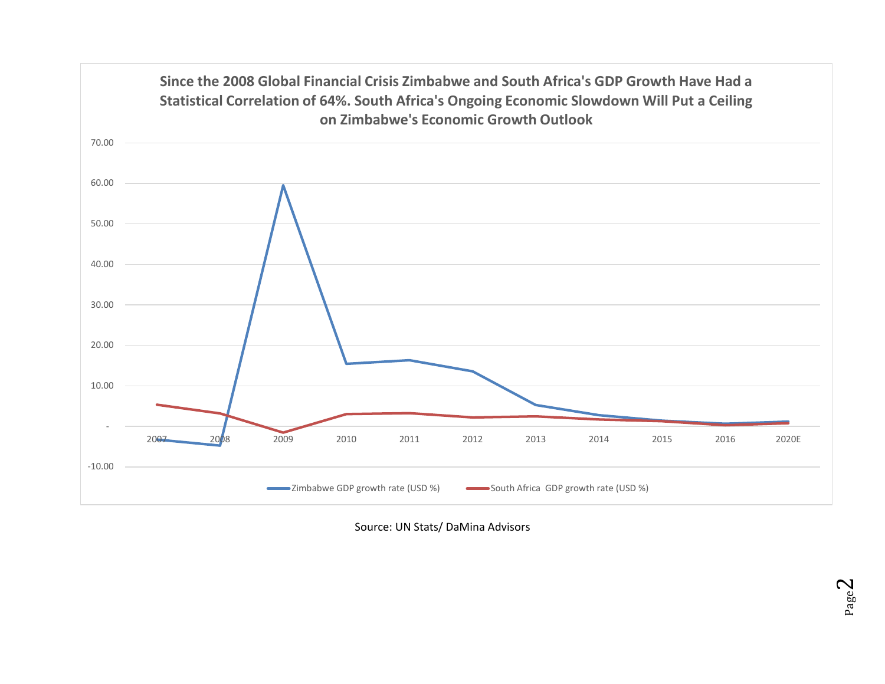

Source: UN Stats/ DaMina Advisors

Page  $\mathrel{\sim}$